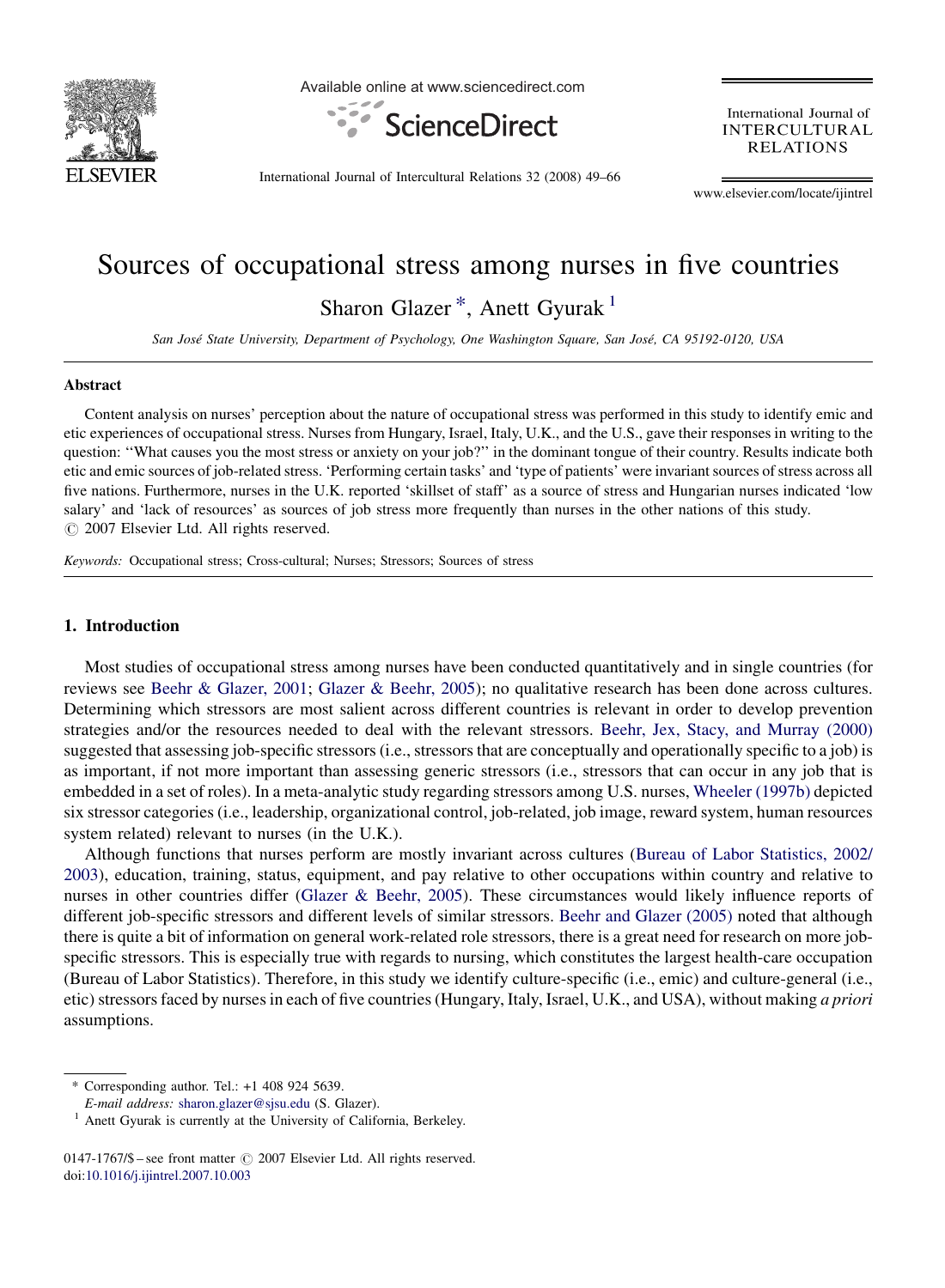

Available online at www.sciencedirect.com



International Journal of **INTERCULTURAL RELATIONS** 

International Journal of Intercultural Relations 32 (2008) 49–66

www.elsevier.com/locate/ijintrel

# Sources of occupational stress among nurses in five countries Sharon Glazer<sup>\*</sup>, Anett Gyurak<sup>1</sup>

San José State University, Department of Psychology, One Washington Square, San José, CA 95192-0120, USA

#### Abstract

Content analysis on nurses' perception about the nature of occupational stress was performed in this study to identify emic and etic experiences of occupational stress. Nurses from Hungary, Israel, Italy, U.K., and the U.S., gave their responses in writing to the question: ''What causes you the most stress or anxiety on your job?'' in the dominant tongue of their country. Results indicate both etic and emic sources of job-related stress. 'Performing certain tasks' and 'type of patients' were invariant sources of stress across all five nations. Furthermore, nurses in the U.K. reported 'skillset of staff' as a source of stress and Hungarian nurses indicated 'low salary' and 'lack of resources' as sources of job stress more frequently than nurses in the other nations of this study.  $\circ$  2007 Elsevier Ltd. All rights reserved.

Keywords: Occupational stress; Cross-cultural; Nurses; Stressors; Sources of stress

#### 1. Introduction

Most studies of occupational stress among nurses have been conducted quantitatively and in single countries (for reviews see [Beehr & Glazer, 2001](#page--1-0); [Glazer & Beehr, 2005](#page--1-0)); no qualitative research has been done across cultures. Determining which stressors are most salient across different countries is relevant in order to develop prevention strategies and/or the resources needed to deal with the relevant stressors. [Beehr, Jex, Stacy, and Murray \(2000\)](#page--1-0) suggested that assessing job-specific stressors (i.e., stressors that are conceptually and operationally specific to a job) is as important, if not more important than assessing generic stressors (i.e., stressors that can occur in any job that is embedded in a set of roles). In a meta-analytic study regarding stressors among U.S. nurses, [Wheeler \(1997b\)](#page--1-0) depicted six stressor categories (i.e., leadership, organizational control, job-related, job image, reward system, human resources system related) relevant to nurses (in the U.K.).

Although functions that nurses perform are mostly invariant across cultures [\(Bureau of Labor Statistics, 2002/](#page--1-0) [2003\)](#page--1-0), education, training, status, equipment, and pay relative to other occupations within country and relative to nurses in other countries differ ([Glazer & Beehr, 2005\)](#page--1-0). These circumstances would likely influence reports of different job-specific stressors and different levels of similar stressors. [Beehr and Glazer \(2005\)](#page--1-0) noted that although there is quite a bit of information on general work-related role stressors, there is a great need for research on more jobspecific stressors. This is especially true with regards to nursing, which constitutes the largest health-care occupation (Bureau of Labor Statistics). Therefore, in this study we identify culture-specific (i.e., emic) and culture-general (i.e., etic) stressors faced by nurses in each of five countries (Hungary, Italy, Israel, U.K., and USA), without making a priori assumptions.

<sup>\*</sup> Corresponding author. Tel.: +1 408 924 5639.

E-mail address: [sharon.glazer@sjsu.edu](mailto:sharon.glazer@sjsu.edu) (S. Glazer).

<sup>&</sup>lt;sup>1</sup> Anett Gyurak is currently at the University of California, Berkeley.

<sup>0147-1767/\$ –</sup> see front matter  $\odot$  2007 Elsevier Ltd. All rights reserved. doi[:10.1016/j.ijintrel.2007.10.003](http://dx.doi.org/10.1016/j.ijintrel.2007.10.003)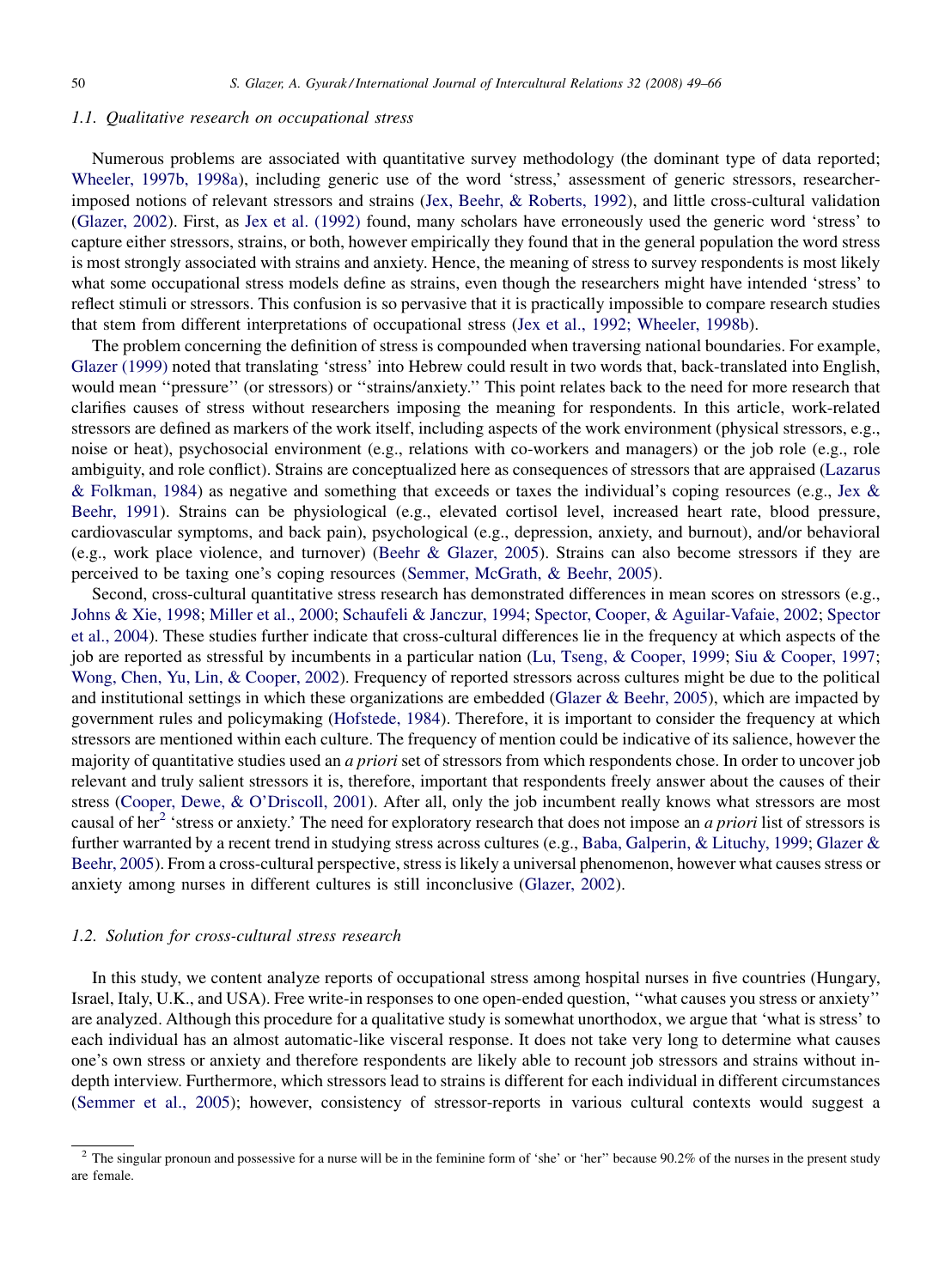### 1.1. Qualitative research on occupational stress

Numerous problems are associated with quantitative survey methodology (the dominant type of data reported; [Wheeler, 1997b, 1998a](#page--1-0)), including generic use of the word 'stress,' assessment of generic stressors, researcherimposed notions of relevant stressors and strains [\(Jex, Beehr, & Roberts, 1992](#page--1-0)), and little cross-cultural validation [\(Glazer, 2002\)](#page--1-0). First, as [Jex et al. \(1992\)](#page--1-0) found, many scholars have erroneously used the generic word 'stress' to capture either stressors, strains, or both, however empirically they found that in the general population the word stress is most strongly associated with strains and anxiety. Hence, the meaning of stress to survey respondents is most likely what some occupational stress models define as strains, even though the researchers might have intended 'stress' to reflect stimuli or stressors. This confusion is so pervasive that it is practically impossible to compare research studies that stem from different interpretations of occupational stress [\(Jex et al., 1992; Wheeler, 1998b\)](#page--1-0).

The problem concerning the definition of stress is compounded when traversing national boundaries. For example, [Glazer \(1999\)](#page--1-0) noted that translating 'stress' into Hebrew could result in two words that, back-translated into English, would mean ''pressure'' (or stressors) or ''strains/anxiety.'' This point relates back to the need for more research that clarifies causes of stress without researchers imposing the meaning for respondents. In this article, work-related stressors are defined as markers of the work itself, including aspects of the work environment (physical stressors, e.g., noise or heat), psychosocial environment (e.g., relations with co-workers and managers) or the job role (e.g., role ambiguity, and role conflict). Strains are conceptualized here as consequences of stressors that are appraised ([Lazarus](#page--1-0) [& Folkman, 1984\)](#page--1-0) as negative and something that exceeds or taxes the individual's coping resources (e.g., [Jex &](#page--1-0) [Beehr, 1991](#page--1-0)). Strains can be physiological (e.g., elevated cortisol level, increased heart rate, blood pressure, cardiovascular symptoms, and back pain), psychological (e.g., depression, anxiety, and burnout), and/or behavioral (e.g., work place violence, and turnover) [\(Beehr & Glazer, 2005\)](#page--1-0). Strains can also become stressors if they are perceived to be taxing one's coping resources ([Semmer, McGrath, & Beehr, 2005](#page--1-0)).

Second, cross-cultural quantitative stress research has demonstrated differences in mean scores on stressors (e.g., [Johns & Xie, 1998;](#page--1-0) [Miller et al., 2000](#page--1-0); [Schaufeli & Janczur, 1994;](#page--1-0) [Spector, Cooper, & Aguilar-Vafaie, 2002;](#page--1-0) [Spector](#page--1-0) [et al., 2004\)](#page--1-0). These studies further indicate that cross-cultural differences lie in the frequency at which aspects of the job are reported as stressful by incumbents in a particular nation ([Lu, Tseng, & Cooper, 1999;](#page--1-0) [Siu & Cooper, 1997;](#page--1-0) [Wong, Chen, Yu, Lin, & Cooper, 2002\)](#page--1-0). Frequency of reported stressors across cultures might be due to the political and institutional settings in which these organizations are embedded [\(Glazer & Beehr, 2005](#page--1-0)), which are impacted by government rules and policymaking [\(Hofstede, 1984\)](#page--1-0). Therefore, it is important to consider the frequency at which stressors are mentioned within each culture. The frequency of mention could be indicative of its salience, however the majority of quantitative studies used an a priori set of stressors from which respondents chose. In order to uncover job relevant and truly salient stressors it is, therefore, important that respondents freely answer about the causes of their stress ([Cooper, Dewe, & O'Driscoll, 2001](#page--1-0)). After all, only the job incumbent really knows what stressors are most causal of her<sup>2</sup> 'stress or anxiety.' The need for exploratory research that does not impose an *a priori* list of stressors is further warranted by a recent trend in studying stress across cultures (e.g., [Baba, Galperin, & Lituchy, 1999;](#page--1-0) [Glazer &](#page--1-0) [Beehr, 2005](#page--1-0)). From a cross-cultural perspective, stress is likely a universal phenomenon, however what causes stress or anxiety among nurses in different cultures is still inconclusive [\(Glazer, 2002\)](#page--1-0).

## 1.2. Solution for cross-cultural stress research

In this study, we content analyze reports of occupational stress among hospital nurses in five countries (Hungary, Israel, Italy, U.K., and USA). Free write-in responses to one open-ended question, ''what causes you stress or anxiety'' are analyzed. Although this procedure for a qualitative study is somewhat unorthodox, we argue that 'what is stress' to each individual has an almost automatic-like visceral response. It does not take very long to determine what causes one's own stress or anxiety and therefore respondents are likely able to recount job stressors and strains without indepth interview. Furthermore, which stressors lead to strains is different for each individual in different circumstances [\(Semmer et al., 2005\)](#page--1-0); however, consistency of stressor-reports in various cultural contexts would suggest a

 $2$  The singular pronoun and possessive for a nurse will be in the feminine form of 'she' or 'her'' because 90.2% of the nurses in the present study are female.